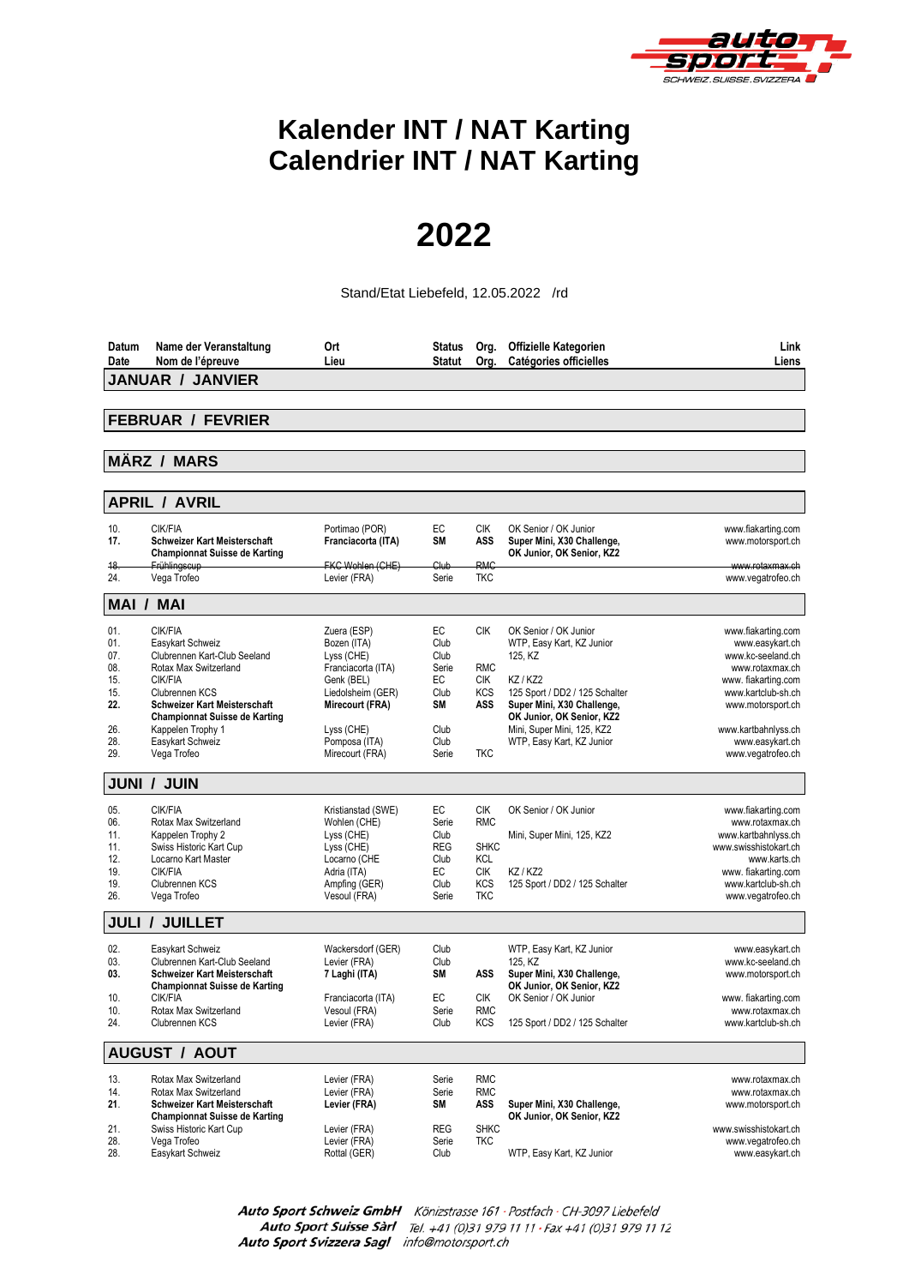

## **Kalender INT / NAT Karting Calendrier INT / NAT Karting**

## **2022**

Stand/Etat Liebefeld, 12.05.2022 /rd

| <b>JANUAR / JANVIER</b><br><b>FEBRUAR / FEVRIER</b><br><b>MÄRZ / MARS</b><br><b>APRIL / AVRIL</b><br>CIK/FIA<br>EC<br><b>CIK</b><br>10.<br>Portimao (POR)<br>OK Senior / OK Junior<br>www.fiakarting.com<br>SM<br>17.<br><b>Schweizer Kart Meisterschaft</b><br>Franciacorta (ITA)<br>ASS<br>Super Mini, X30 Challenge,<br>www.motorsport.ch<br>OK Junior, OK Senior, KZ2<br><b>Championnat Suisse de Karting</b><br><b>RMC</b><br>FKC Wohlen (CHE)<br>Club<br>18.<br>Frühlingscup<br>www.rotaxmax.ch<br>24.<br>Vega Trofeo<br>Levier (FRA)<br>Serie<br><b>TKC</b><br>www.vegatrofeo.ch<br><b>MAI / MAI</b><br>CIK/FIA<br><b>CIK</b><br>OK Senior / OK Junior<br>01.<br>Zuera (ESP)<br>EC<br>www.fiakarting.com<br>Bozen (ITA)<br>Club<br>01.<br>Easykart Schweiz<br>WTP, Easy Kart, KZ Junior<br>www.easykart.ch<br>07.<br>Clubrennen Kart-Club Seeland<br>Lyss (CHE)<br>Club<br>125, KZ<br>www.kc-seeland.ch<br>08.<br>Rotax Max Switzerland<br>Franciacorta (ITA)<br>Serie<br><b>RMC</b><br>www.rotaxmax.ch<br>CIK/FIA<br>EC<br><b>CIK</b><br>KZ / KZ2<br>15.<br>Genk (BEL)<br>www. fiakarting.com<br>15.<br>Clubrennen KCS<br>Liedolsheim (GER)<br>Club<br><b>KCS</b><br>125 Sport / DD2 / 125 Schalter<br>www.kartclub-sh.ch<br>ASS<br>22.<br><b>Schweizer Kart Meisterschaft</b><br>Mirecourt (FRA)<br>SΜ<br>Super Mini, X30 Challenge,<br>www.motorsport.ch<br>OK Junior, OK Senior, KZ2<br><b>Championnat Suisse de Karting</b><br>26.<br>Kappelen Trophy 1<br>Lyss (CHE)<br>Club<br>Mini, Super Mini, 125, KZ2<br>www.kartbahnlyss.ch<br>Pomposa (ITA)<br>28.<br>Easykart Schweiz<br>Club<br>WTP, Easy Kart, KZ Junior<br>www.easykart.ch<br>Vega Trofeo<br>Mirecourt (FRA)<br>29.<br>Serie<br><b>TKC</b><br>www.vegatrofeo.ch<br><b>JUNI / JUIN</b><br>CIK/FIA<br>EC<br><b>CIK</b><br>OK Senior / OK Junior<br>05.<br>Kristianstad (SWE)<br>www.fiakarting.com<br><b>RMC</b><br>06.<br>Rotax Max Switzerland<br>Wohlen (CHE)<br>Serie<br>www.rotaxmax.ch<br>Lyss (CHE)<br>11.<br>Kappelen Trophy 2<br>Club<br>www.kartbahnlyss.ch<br>Mini, Super Mini, 125, KZ2<br>Swiss Historic Kart Cup<br><b>REG</b><br><b>SHKC</b><br>11.<br>Lyss (CHE)<br>www.swisshistokart.ch<br>Locarno Kart Master<br><b>KCL</b><br>12.<br>Locarno (CHE<br>Club<br>www.karts.ch<br>CIK/FIA<br>EC<br>KZ / KZ2<br>19.<br>Adria (ITA)<br><b>CIK</b><br>www. fiakarting.com<br><b>KCS</b><br>19.<br>Clubrennen KCS<br>Ampfing (GER)<br>Club<br>125 Sport / DD2 / 125 Schalter<br>www.kartclub-sh.ch<br><b>TKC</b><br>26.<br>Vega Trofeo<br>Vesoul (FRA)<br>Serie<br>www.vegatrofeo.ch<br><b>JULI</b><br><b>JUILLET</b><br>$\prime$<br>02.<br>Easykart Schweiz<br>Wackersdorf (GER)<br>Club<br>WTP, Easy Kart, KZ Junior<br>www.easykart.ch<br>Clubrennen Kart-Club Seeland<br>Levier (FRA)<br>125, KZ<br>www.kc-seeland.ch<br>03.<br>Club<br><b>SM</b><br>ASS<br>Super Mini, X30 Challenge,<br>03.<br><b>Schweizer Kart Meisterschaft</b><br>7 Laghi (ITA)<br>www.motorsport.ch<br>OK Junior, OK Senior, KZ2<br><b>Championnat Suisse de Karting</b><br>CIK/FIA<br>EC<br><b>CIK</b><br>OK Senior / OK Junior<br>10.<br>Franciacorta (ITA)<br>www. fiakarting.com<br>10.<br>Rotax Max Switzerland<br>Vesoul (FRA)<br>Serie<br><b>RMC</b><br>www.rotaxmax.ch<br>24.<br>Clubrennen KCS<br>Levier (FRA)<br>Club<br><b>KCS</b><br>125 Sport / DD2 / 125 Schalter<br>www.kartclub-sh.ch<br><b>AUGUST / AOUT</b><br><b>RMC</b><br>13.<br>Rotax Max Switzerland<br>Levier (FRA)<br>Serie<br>www.rotaxmax.ch<br>Levier (FRA)<br><b>RMC</b><br>14.<br>Rotax Max Switzerland<br>Serie<br>www.rotaxmax.ch<br>21.<br>SM<br>ASS<br><b>Schweizer Kart Meisterschaft</b><br>Levier (FRA)<br>Super Mini, X30 Challenge,<br>www.motorsport.ch<br><b>Championnat Suisse de Karting</b><br>OK Junior, OK Senior, KZ2 | Datum<br>Date | Name der Veranstaltung<br>Nom de l'épreuve | Ort<br>Lieu | <b>Status</b><br><b>Statut</b> | Org.<br>Org. | <b>Offizielle Kategorien</b><br>Catégories officielles | Link<br>Liens |  |  |  |
|----------------------------------------------------------------------------------------------------------------------------------------------------------------------------------------------------------------------------------------------------------------------------------------------------------------------------------------------------------------------------------------------------------------------------------------------------------------------------------------------------------------------------------------------------------------------------------------------------------------------------------------------------------------------------------------------------------------------------------------------------------------------------------------------------------------------------------------------------------------------------------------------------------------------------------------------------------------------------------------------------------------------------------------------------------------------------------------------------------------------------------------------------------------------------------------------------------------------------------------------------------------------------------------------------------------------------------------------------------------------------------------------------------------------------------------------------------------------------------------------------------------------------------------------------------------------------------------------------------------------------------------------------------------------------------------------------------------------------------------------------------------------------------------------------------------------------------------------------------------------------------------------------------------------------------------------------------------------------------------------------------------------------------------------------------------------------------------------------------------------------------------------------------------------------------------------------------------------------------------------------------------------------------------------------------------------------------------------------------------------------------------------------------------------------------------------------------------------------------------------------------------------------------------------------------------------------------------------------------------------------------------------------------------------------------------------------------------------------------------------------------------------------------------------------------------------------------------------------------------------------------------------------------------------------------------------------------------------------------------------------------------------------------------------------------------------------------------------------------------------------------------------------------------------------------------------------------------------------------------------------------------------------------------------------------------------------------------------------------------------------------------------------------------------------------------------------------------------------------------------------------------------------------------------------------------------------------------------------------------------------------------------------------------------------------------------------------------------------------------------------------------------------------|---------------|--------------------------------------------|-------------|--------------------------------|--------------|--------------------------------------------------------|---------------|--|--|--|
|                                                                                                                                                                                                                                                                                                                                                                                                                                                                                                                                                                                                                                                                                                                                                                                                                                                                                                                                                                                                                                                                                                                                                                                                                                                                                                                                                                                                                                                                                                                                                                                                                                                                                                                                                                                                                                                                                                                                                                                                                                                                                                                                                                                                                                                                                                                                                                                                                                                                                                                                                                                                                                                                                                                                                                                                                                                                                                                                                                                                                                                                                                                                                                                                                                                                                                                                                                                                                                                                                                                                                                                                                                                                                                                                                                                  |               |                                            |             |                                |              |                                                        |               |  |  |  |
|                                                                                                                                                                                                                                                                                                                                                                                                                                                                                                                                                                                                                                                                                                                                                                                                                                                                                                                                                                                                                                                                                                                                                                                                                                                                                                                                                                                                                                                                                                                                                                                                                                                                                                                                                                                                                                                                                                                                                                                                                                                                                                                                                                                                                                                                                                                                                                                                                                                                                                                                                                                                                                                                                                                                                                                                                                                                                                                                                                                                                                                                                                                                                                                                                                                                                                                                                                                                                                                                                                                                                                                                                                                                                                                                                                                  |               |                                            |             |                                |              |                                                        |               |  |  |  |
|                                                                                                                                                                                                                                                                                                                                                                                                                                                                                                                                                                                                                                                                                                                                                                                                                                                                                                                                                                                                                                                                                                                                                                                                                                                                                                                                                                                                                                                                                                                                                                                                                                                                                                                                                                                                                                                                                                                                                                                                                                                                                                                                                                                                                                                                                                                                                                                                                                                                                                                                                                                                                                                                                                                                                                                                                                                                                                                                                                                                                                                                                                                                                                                                                                                                                                                                                                                                                                                                                                                                                                                                                                                                                                                                                                                  |               |                                            |             |                                |              |                                                        |               |  |  |  |
|                                                                                                                                                                                                                                                                                                                                                                                                                                                                                                                                                                                                                                                                                                                                                                                                                                                                                                                                                                                                                                                                                                                                                                                                                                                                                                                                                                                                                                                                                                                                                                                                                                                                                                                                                                                                                                                                                                                                                                                                                                                                                                                                                                                                                                                                                                                                                                                                                                                                                                                                                                                                                                                                                                                                                                                                                                                                                                                                                                                                                                                                                                                                                                                                                                                                                                                                                                                                                                                                                                                                                                                                                                                                                                                                                                                  |               |                                            |             |                                |              |                                                        |               |  |  |  |
|                                                                                                                                                                                                                                                                                                                                                                                                                                                                                                                                                                                                                                                                                                                                                                                                                                                                                                                                                                                                                                                                                                                                                                                                                                                                                                                                                                                                                                                                                                                                                                                                                                                                                                                                                                                                                                                                                                                                                                                                                                                                                                                                                                                                                                                                                                                                                                                                                                                                                                                                                                                                                                                                                                                                                                                                                                                                                                                                                                                                                                                                                                                                                                                                                                                                                                                                                                                                                                                                                                                                                                                                                                                                                                                                                                                  |               |                                            |             |                                |              |                                                        |               |  |  |  |
|                                                                                                                                                                                                                                                                                                                                                                                                                                                                                                                                                                                                                                                                                                                                                                                                                                                                                                                                                                                                                                                                                                                                                                                                                                                                                                                                                                                                                                                                                                                                                                                                                                                                                                                                                                                                                                                                                                                                                                                                                                                                                                                                                                                                                                                                                                                                                                                                                                                                                                                                                                                                                                                                                                                                                                                                                                                                                                                                                                                                                                                                                                                                                                                                                                                                                                                                                                                                                                                                                                                                                                                                                                                                                                                                                                                  |               |                                            |             |                                |              |                                                        |               |  |  |  |
|                                                                                                                                                                                                                                                                                                                                                                                                                                                                                                                                                                                                                                                                                                                                                                                                                                                                                                                                                                                                                                                                                                                                                                                                                                                                                                                                                                                                                                                                                                                                                                                                                                                                                                                                                                                                                                                                                                                                                                                                                                                                                                                                                                                                                                                                                                                                                                                                                                                                                                                                                                                                                                                                                                                                                                                                                                                                                                                                                                                                                                                                                                                                                                                                                                                                                                                                                                                                                                                                                                                                                                                                                                                                                                                                                                                  |               |                                            |             |                                |              |                                                        |               |  |  |  |
|                                                                                                                                                                                                                                                                                                                                                                                                                                                                                                                                                                                                                                                                                                                                                                                                                                                                                                                                                                                                                                                                                                                                                                                                                                                                                                                                                                                                                                                                                                                                                                                                                                                                                                                                                                                                                                                                                                                                                                                                                                                                                                                                                                                                                                                                                                                                                                                                                                                                                                                                                                                                                                                                                                                                                                                                                                                                                                                                                                                                                                                                                                                                                                                                                                                                                                                                                                                                                                                                                                                                                                                                                                                                                                                                                                                  |               |                                            |             |                                |              |                                                        |               |  |  |  |
|                                                                                                                                                                                                                                                                                                                                                                                                                                                                                                                                                                                                                                                                                                                                                                                                                                                                                                                                                                                                                                                                                                                                                                                                                                                                                                                                                                                                                                                                                                                                                                                                                                                                                                                                                                                                                                                                                                                                                                                                                                                                                                                                                                                                                                                                                                                                                                                                                                                                                                                                                                                                                                                                                                                                                                                                                                                                                                                                                                                                                                                                                                                                                                                                                                                                                                                                                                                                                                                                                                                                                                                                                                                                                                                                                                                  |               |                                            |             |                                |              |                                                        |               |  |  |  |
|                                                                                                                                                                                                                                                                                                                                                                                                                                                                                                                                                                                                                                                                                                                                                                                                                                                                                                                                                                                                                                                                                                                                                                                                                                                                                                                                                                                                                                                                                                                                                                                                                                                                                                                                                                                                                                                                                                                                                                                                                                                                                                                                                                                                                                                                                                                                                                                                                                                                                                                                                                                                                                                                                                                                                                                                                                                                                                                                                                                                                                                                                                                                                                                                                                                                                                                                                                                                                                                                                                                                                                                                                                                                                                                                                                                  |               |                                            |             |                                |              |                                                        |               |  |  |  |
|                                                                                                                                                                                                                                                                                                                                                                                                                                                                                                                                                                                                                                                                                                                                                                                                                                                                                                                                                                                                                                                                                                                                                                                                                                                                                                                                                                                                                                                                                                                                                                                                                                                                                                                                                                                                                                                                                                                                                                                                                                                                                                                                                                                                                                                                                                                                                                                                                                                                                                                                                                                                                                                                                                                                                                                                                                                                                                                                                                                                                                                                                                                                                                                                                                                                                                                                                                                                                                                                                                                                                                                                                                                                                                                                                                                  |               |                                            |             |                                |              |                                                        |               |  |  |  |
|                                                                                                                                                                                                                                                                                                                                                                                                                                                                                                                                                                                                                                                                                                                                                                                                                                                                                                                                                                                                                                                                                                                                                                                                                                                                                                                                                                                                                                                                                                                                                                                                                                                                                                                                                                                                                                                                                                                                                                                                                                                                                                                                                                                                                                                                                                                                                                                                                                                                                                                                                                                                                                                                                                                                                                                                                                                                                                                                                                                                                                                                                                                                                                                                                                                                                                                                                                                                                                                                                                                                                                                                                                                                                                                                                                                  |               |                                            |             |                                |              |                                                        |               |  |  |  |
|                                                                                                                                                                                                                                                                                                                                                                                                                                                                                                                                                                                                                                                                                                                                                                                                                                                                                                                                                                                                                                                                                                                                                                                                                                                                                                                                                                                                                                                                                                                                                                                                                                                                                                                                                                                                                                                                                                                                                                                                                                                                                                                                                                                                                                                                                                                                                                                                                                                                                                                                                                                                                                                                                                                                                                                                                                                                                                                                                                                                                                                                                                                                                                                                                                                                                                                                                                                                                                                                                                                                                                                                                                                                                                                                                                                  |               |                                            |             |                                |              |                                                        |               |  |  |  |
|                                                                                                                                                                                                                                                                                                                                                                                                                                                                                                                                                                                                                                                                                                                                                                                                                                                                                                                                                                                                                                                                                                                                                                                                                                                                                                                                                                                                                                                                                                                                                                                                                                                                                                                                                                                                                                                                                                                                                                                                                                                                                                                                                                                                                                                                                                                                                                                                                                                                                                                                                                                                                                                                                                                                                                                                                                                                                                                                                                                                                                                                                                                                                                                                                                                                                                                                                                                                                                                                                                                                                                                                                                                                                                                                                                                  |               |                                            |             |                                |              |                                                        |               |  |  |  |
|                                                                                                                                                                                                                                                                                                                                                                                                                                                                                                                                                                                                                                                                                                                                                                                                                                                                                                                                                                                                                                                                                                                                                                                                                                                                                                                                                                                                                                                                                                                                                                                                                                                                                                                                                                                                                                                                                                                                                                                                                                                                                                                                                                                                                                                                                                                                                                                                                                                                                                                                                                                                                                                                                                                                                                                                                                                                                                                                                                                                                                                                                                                                                                                                                                                                                                                                                                                                                                                                                                                                                                                                                                                                                                                                                                                  |               |                                            |             |                                |              |                                                        |               |  |  |  |
|                                                                                                                                                                                                                                                                                                                                                                                                                                                                                                                                                                                                                                                                                                                                                                                                                                                                                                                                                                                                                                                                                                                                                                                                                                                                                                                                                                                                                                                                                                                                                                                                                                                                                                                                                                                                                                                                                                                                                                                                                                                                                                                                                                                                                                                                                                                                                                                                                                                                                                                                                                                                                                                                                                                                                                                                                                                                                                                                                                                                                                                                                                                                                                                                                                                                                                                                                                                                                                                                                                                                                                                                                                                                                                                                                                                  |               |                                            |             |                                |              |                                                        |               |  |  |  |
|                                                                                                                                                                                                                                                                                                                                                                                                                                                                                                                                                                                                                                                                                                                                                                                                                                                                                                                                                                                                                                                                                                                                                                                                                                                                                                                                                                                                                                                                                                                                                                                                                                                                                                                                                                                                                                                                                                                                                                                                                                                                                                                                                                                                                                                                                                                                                                                                                                                                                                                                                                                                                                                                                                                                                                                                                                                                                                                                                                                                                                                                                                                                                                                                                                                                                                                                                                                                                                                                                                                                                                                                                                                                                                                                                                                  |               |                                            |             |                                |              |                                                        |               |  |  |  |
|                                                                                                                                                                                                                                                                                                                                                                                                                                                                                                                                                                                                                                                                                                                                                                                                                                                                                                                                                                                                                                                                                                                                                                                                                                                                                                                                                                                                                                                                                                                                                                                                                                                                                                                                                                                                                                                                                                                                                                                                                                                                                                                                                                                                                                                                                                                                                                                                                                                                                                                                                                                                                                                                                                                                                                                                                                                                                                                                                                                                                                                                                                                                                                                                                                                                                                                                                                                                                                                                                                                                                                                                                                                                                                                                                                                  |               |                                            |             |                                |              |                                                        |               |  |  |  |
|                                                                                                                                                                                                                                                                                                                                                                                                                                                                                                                                                                                                                                                                                                                                                                                                                                                                                                                                                                                                                                                                                                                                                                                                                                                                                                                                                                                                                                                                                                                                                                                                                                                                                                                                                                                                                                                                                                                                                                                                                                                                                                                                                                                                                                                                                                                                                                                                                                                                                                                                                                                                                                                                                                                                                                                                                                                                                                                                                                                                                                                                                                                                                                                                                                                                                                                                                                                                                                                                                                                                                                                                                                                                                                                                                                                  |               |                                            |             |                                |              |                                                        |               |  |  |  |
|                                                                                                                                                                                                                                                                                                                                                                                                                                                                                                                                                                                                                                                                                                                                                                                                                                                                                                                                                                                                                                                                                                                                                                                                                                                                                                                                                                                                                                                                                                                                                                                                                                                                                                                                                                                                                                                                                                                                                                                                                                                                                                                                                                                                                                                                                                                                                                                                                                                                                                                                                                                                                                                                                                                                                                                                                                                                                                                                                                                                                                                                                                                                                                                                                                                                                                                                                                                                                                                                                                                                                                                                                                                                                                                                                                                  |               |                                            |             |                                |              |                                                        |               |  |  |  |
|                                                                                                                                                                                                                                                                                                                                                                                                                                                                                                                                                                                                                                                                                                                                                                                                                                                                                                                                                                                                                                                                                                                                                                                                                                                                                                                                                                                                                                                                                                                                                                                                                                                                                                                                                                                                                                                                                                                                                                                                                                                                                                                                                                                                                                                                                                                                                                                                                                                                                                                                                                                                                                                                                                                                                                                                                                                                                                                                                                                                                                                                                                                                                                                                                                                                                                                                                                                                                                                                                                                                                                                                                                                                                                                                                                                  |               |                                            |             |                                |              |                                                        |               |  |  |  |
|                                                                                                                                                                                                                                                                                                                                                                                                                                                                                                                                                                                                                                                                                                                                                                                                                                                                                                                                                                                                                                                                                                                                                                                                                                                                                                                                                                                                                                                                                                                                                                                                                                                                                                                                                                                                                                                                                                                                                                                                                                                                                                                                                                                                                                                                                                                                                                                                                                                                                                                                                                                                                                                                                                                                                                                                                                                                                                                                                                                                                                                                                                                                                                                                                                                                                                                                                                                                                                                                                                                                                                                                                                                                                                                                                                                  |               |                                            |             |                                |              |                                                        |               |  |  |  |
|                                                                                                                                                                                                                                                                                                                                                                                                                                                                                                                                                                                                                                                                                                                                                                                                                                                                                                                                                                                                                                                                                                                                                                                                                                                                                                                                                                                                                                                                                                                                                                                                                                                                                                                                                                                                                                                                                                                                                                                                                                                                                                                                                                                                                                                                                                                                                                                                                                                                                                                                                                                                                                                                                                                                                                                                                                                                                                                                                                                                                                                                                                                                                                                                                                                                                                                                                                                                                                                                                                                                                                                                                                                                                                                                                                                  |               |                                            |             |                                |              |                                                        |               |  |  |  |
|                                                                                                                                                                                                                                                                                                                                                                                                                                                                                                                                                                                                                                                                                                                                                                                                                                                                                                                                                                                                                                                                                                                                                                                                                                                                                                                                                                                                                                                                                                                                                                                                                                                                                                                                                                                                                                                                                                                                                                                                                                                                                                                                                                                                                                                                                                                                                                                                                                                                                                                                                                                                                                                                                                                                                                                                                                                                                                                                                                                                                                                                                                                                                                                                                                                                                                                                                                                                                                                                                                                                                                                                                                                                                                                                                                                  |               |                                            |             |                                |              |                                                        |               |  |  |  |
|                                                                                                                                                                                                                                                                                                                                                                                                                                                                                                                                                                                                                                                                                                                                                                                                                                                                                                                                                                                                                                                                                                                                                                                                                                                                                                                                                                                                                                                                                                                                                                                                                                                                                                                                                                                                                                                                                                                                                                                                                                                                                                                                                                                                                                                                                                                                                                                                                                                                                                                                                                                                                                                                                                                                                                                                                                                                                                                                                                                                                                                                                                                                                                                                                                                                                                                                                                                                                                                                                                                                                                                                                                                                                                                                                                                  |               |                                            |             |                                |              |                                                        |               |  |  |  |
|                                                                                                                                                                                                                                                                                                                                                                                                                                                                                                                                                                                                                                                                                                                                                                                                                                                                                                                                                                                                                                                                                                                                                                                                                                                                                                                                                                                                                                                                                                                                                                                                                                                                                                                                                                                                                                                                                                                                                                                                                                                                                                                                                                                                                                                                                                                                                                                                                                                                                                                                                                                                                                                                                                                                                                                                                                                                                                                                                                                                                                                                                                                                                                                                                                                                                                                                                                                                                                                                                                                                                                                                                                                                                                                                                                                  |               |                                            |             |                                |              |                                                        |               |  |  |  |
|                                                                                                                                                                                                                                                                                                                                                                                                                                                                                                                                                                                                                                                                                                                                                                                                                                                                                                                                                                                                                                                                                                                                                                                                                                                                                                                                                                                                                                                                                                                                                                                                                                                                                                                                                                                                                                                                                                                                                                                                                                                                                                                                                                                                                                                                                                                                                                                                                                                                                                                                                                                                                                                                                                                                                                                                                                                                                                                                                                                                                                                                                                                                                                                                                                                                                                                                                                                                                                                                                                                                                                                                                                                                                                                                                                                  |               |                                            |             |                                |              |                                                        |               |  |  |  |
|                                                                                                                                                                                                                                                                                                                                                                                                                                                                                                                                                                                                                                                                                                                                                                                                                                                                                                                                                                                                                                                                                                                                                                                                                                                                                                                                                                                                                                                                                                                                                                                                                                                                                                                                                                                                                                                                                                                                                                                                                                                                                                                                                                                                                                                                                                                                                                                                                                                                                                                                                                                                                                                                                                                                                                                                                                                                                                                                                                                                                                                                                                                                                                                                                                                                                                                                                                                                                                                                                                                                                                                                                                                                                                                                                                                  |               |                                            |             |                                |              |                                                        |               |  |  |  |
|                                                                                                                                                                                                                                                                                                                                                                                                                                                                                                                                                                                                                                                                                                                                                                                                                                                                                                                                                                                                                                                                                                                                                                                                                                                                                                                                                                                                                                                                                                                                                                                                                                                                                                                                                                                                                                                                                                                                                                                                                                                                                                                                                                                                                                                                                                                                                                                                                                                                                                                                                                                                                                                                                                                                                                                                                                                                                                                                                                                                                                                                                                                                                                                                                                                                                                                                                                                                                                                                                                                                                                                                                                                                                                                                                                                  |               |                                            |             |                                |              |                                                        |               |  |  |  |
|                                                                                                                                                                                                                                                                                                                                                                                                                                                                                                                                                                                                                                                                                                                                                                                                                                                                                                                                                                                                                                                                                                                                                                                                                                                                                                                                                                                                                                                                                                                                                                                                                                                                                                                                                                                                                                                                                                                                                                                                                                                                                                                                                                                                                                                                                                                                                                                                                                                                                                                                                                                                                                                                                                                                                                                                                                                                                                                                                                                                                                                                                                                                                                                                                                                                                                                                                                                                                                                                                                                                                                                                                                                                                                                                                                                  |               |                                            |             |                                |              |                                                        |               |  |  |  |
|                                                                                                                                                                                                                                                                                                                                                                                                                                                                                                                                                                                                                                                                                                                                                                                                                                                                                                                                                                                                                                                                                                                                                                                                                                                                                                                                                                                                                                                                                                                                                                                                                                                                                                                                                                                                                                                                                                                                                                                                                                                                                                                                                                                                                                                                                                                                                                                                                                                                                                                                                                                                                                                                                                                                                                                                                                                                                                                                                                                                                                                                                                                                                                                                                                                                                                                                                                                                                                                                                                                                                                                                                                                                                                                                                                                  |               |                                            |             |                                |              |                                                        |               |  |  |  |
|                                                                                                                                                                                                                                                                                                                                                                                                                                                                                                                                                                                                                                                                                                                                                                                                                                                                                                                                                                                                                                                                                                                                                                                                                                                                                                                                                                                                                                                                                                                                                                                                                                                                                                                                                                                                                                                                                                                                                                                                                                                                                                                                                                                                                                                                                                                                                                                                                                                                                                                                                                                                                                                                                                                                                                                                                                                                                                                                                                                                                                                                                                                                                                                                                                                                                                                                                                                                                                                                                                                                                                                                                                                                                                                                                                                  |               |                                            |             |                                |              |                                                        |               |  |  |  |
|                                                                                                                                                                                                                                                                                                                                                                                                                                                                                                                                                                                                                                                                                                                                                                                                                                                                                                                                                                                                                                                                                                                                                                                                                                                                                                                                                                                                                                                                                                                                                                                                                                                                                                                                                                                                                                                                                                                                                                                                                                                                                                                                                                                                                                                                                                                                                                                                                                                                                                                                                                                                                                                                                                                                                                                                                                                                                                                                                                                                                                                                                                                                                                                                                                                                                                                                                                                                                                                                                                                                                                                                                                                                                                                                                                                  |               |                                            |             |                                |              |                                                        |               |  |  |  |
|                                                                                                                                                                                                                                                                                                                                                                                                                                                                                                                                                                                                                                                                                                                                                                                                                                                                                                                                                                                                                                                                                                                                                                                                                                                                                                                                                                                                                                                                                                                                                                                                                                                                                                                                                                                                                                                                                                                                                                                                                                                                                                                                                                                                                                                                                                                                                                                                                                                                                                                                                                                                                                                                                                                                                                                                                                                                                                                                                                                                                                                                                                                                                                                                                                                                                                                                                                                                                                                                                                                                                                                                                                                                                                                                                                                  |               |                                            |             |                                |              |                                                        |               |  |  |  |
|                                                                                                                                                                                                                                                                                                                                                                                                                                                                                                                                                                                                                                                                                                                                                                                                                                                                                                                                                                                                                                                                                                                                                                                                                                                                                                                                                                                                                                                                                                                                                                                                                                                                                                                                                                                                                                                                                                                                                                                                                                                                                                                                                                                                                                                                                                                                                                                                                                                                                                                                                                                                                                                                                                                                                                                                                                                                                                                                                                                                                                                                                                                                                                                                                                                                                                                                                                                                                                                                                                                                                                                                                                                                                                                                                                                  |               |                                            |             |                                |              |                                                        |               |  |  |  |
|                                                                                                                                                                                                                                                                                                                                                                                                                                                                                                                                                                                                                                                                                                                                                                                                                                                                                                                                                                                                                                                                                                                                                                                                                                                                                                                                                                                                                                                                                                                                                                                                                                                                                                                                                                                                                                                                                                                                                                                                                                                                                                                                                                                                                                                                                                                                                                                                                                                                                                                                                                                                                                                                                                                                                                                                                                                                                                                                                                                                                                                                                                                                                                                                                                                                                                                                                                                                                                                                                                                                                                                                                                                                                                                                                                                  |               |                                            |             |                                |              |                                                        |               |  |  |  |
|                                                                                                                                                                                                                                                                                                                                                                                                                                                                                                                                                                                                                                                                                                                                                                                                                                                                                                                                                                                                                                                                                                                                                                                                                                                                                                                                                                                                                                                                                                                                                                                                                                                                                                                                                                                                                                                                                                                                                                                                                                                                                                                                                                                                                                                                                                                                                                                                                                                                                                                                                                                                                                                                                                                                                                                                                                                                                                                                                                                                                                                                                                                                                                                                                                                                                                                                                                                                                                                                                                                                                                                                                                                                                                                                                                                  |               |                                            |             |                                |              |                                                        |               |  |  |  |
|                                                                                                                                                                                                                                                                                                                                                                                                                                                                                                                                                                                                                                                                                                                                                                                                                                                                                                                                                                                                                                                                                                                                                                                                                                                                                                                                                                                                                                                                                                                                                                                                                                                                                                                                                                                                                                                                                                                                                                                                                                                                                                                                                                                                                                                                                                                                                                                                                                                                                                                                                                                                                                                                                                                                                                                                                                                                                                                                                                                                                                                                                                                                                                                                                                                                                                                                                                                                                                                                                                                                                                                                                                                                                                                                                                                  |               |                                            |             |                                |              |                                                        |               |  |  |  |
|                                                                                                                                                                                                                                                                                                                                                                                                                                                                                                                                                                                                                                                                                                                                                                                                                                                                                                                                                                                                                                                                                                                                                                                                                                                                                                                                                                                                                                                                                                                                                                                                                                                                                                                                                                                                                                                                                                                                                                                                                                                                                                                                                                                                                                                                                                                                                                                                                                                                                                                                                                                                                                                                                                                                                                                                                                                                                                                                                                                                                                                                                                                                                                                                                                                                                                                                                                                                                                                                                                                                                                                                                                                                                                                                                                                  |               |                                            |             |                                |              |                                                        |               |  |  |  |
|                                                                                                                                                                                                                                                                                                                                                                                                                                                                                                                                                                                                                                                                                                                                                                                                                                                                                                                                                                                                                                                                                                                                                                                                                                                                                                                                                                                                                                                                                                                                                                                                                                                                                                                                                                                                                                                                                                                                                                                                                                                                                                                                                                                                                                                                                                                                                                                                                                                                                                                                                                                                                                                                                                                                                                                                                                                                                                                                                                                                                                                                                                                                                                                                                                                                                                                                                                                                                                                                                                                                                                                                                                                                                                                                                                                  |               |                                            |             |                                |              |                                                        |               |  |  |  |
| 21.<br><b>SHKC</b><br>Swiss Historic Kart Cup<br>Levier (FRA)<br><b>REG</b><br>www.swisshistokart.ch                                                                                                                                                                                                                                                                                                                                                                                                                                                                                                                                                                                                                                                                                                                                                                                                                                                                                                                                                                                                                                                                                                                                                                                                                                                                                                                                                                                                                                                                                                                                                                                                                                                                                                                                                                                                                                                                                                                                                                                                                                                                                                                                                                                                                                                                                                                                                                                                                                                                                                                                                                                                                                                                                                                                                                                                                                                                                                                                                                                                                                                                                                                                                                                                                                                                                                                                                                                                                                                                                                                                                                                                                                                                             |               |                                            |             |                                |              |                                                        |               |  |  |  |
| 28.<br>Levier (FRA)<br>Serie<br><b>TKC</b><br>Vega Trofeo<br>www.vegatrofeo.ch                                                                                                                                                                                                                                                                                                                                                                                                                                                                                                                                                                                                                                                                                                                                                                                                                                                                                                                                                                                                                                                                                                                                                                                                                                                                                                                                                                                                                                                                                                                                                                                                                                                                                                                                                                                                                                                                                                                                                                                                                                                                                                                                                                                                                                                                                                                                                                                                                                                                                                                                                                                                                                                                                                                                                                                                                                                                                                                                                                                                                                                                                                                                                                                                                                                                                                                                                                                                                                                                                                                                                                                                                                                                                                   |               |                                            |             |                                |              |                                                        |               |  |  |  |
| 28.<br>Easykart Schweiz<br>Rottal (GER)<br>Club<br>WTP, Easy Kart, KZ Junior<br>www.easykart.ch                                                                                                                                                                                                                                                                                                                                                                                                                                                                                                                                                                                                                                                                                                                                                                                                                                                                                                                                                                                                                                                                                                                                                                                                                                                                                                                                                                                                                                                                                                                                                                                                                                                                                                                                                                                                                                                                                                                                                                                                                                                                                                                                                                                                                                                                                                                                                                                                                                                                                                                                                                                                                                                                                                                                                                                                                                                                                                                                                                                                                                                                                                                                                                                                                                                                                                                                                                                                                                                                                                                                                                                                                                                                                  |               |                                            |             |                                |              |                                                        |               |  |  |  |

Auto Sport Schweiz GmbH Könizstrasse 161 · Postfach · CH-3097 Liebefeld **Auto Sport Suisse Sàrl** Tel. +41 (0)31 979 11 11 · Fax +41 (0)31 979 11 12<br>**Auto Sport Svizzera Sagl** info@motorsport.ch